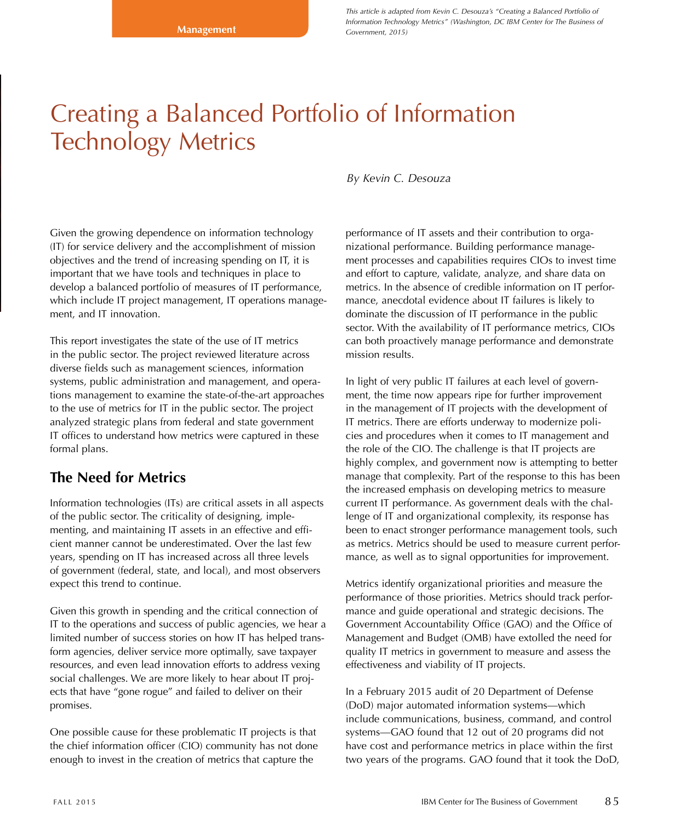*This article is adapted from Kevin C. Desouza's "Creating a Balanced Portfolio of Information Technology Metrics" (Washington, DC IBM Center for The Business of Government, 2015)*

# Creating a Balanced Portfolio of Information Technology Metrics

Given the growing dependence on information technology (IT) for service delivery and the accomplishment of mission objectives and the trend of increasing spending on IT, it is important that we have tools and techniques in place to develop a balanced portfolio of measures of IT performance, which include IT project management, IT operations management, and IT innovation.

This report investigates the state of the use of IT metrics in the public sector. The project reviewed literature across diverse fields such as management sciences, information systems, public administration and management, and operations management to examine the state-of-the-art approaches to the use of metrics for IT in the public sector. The project analyzed strategic plans from federal and state government IT offices to understand how metrics were captured in these formal plans.

# **The Need for Metrics**

Information technologies (ITs) are critical assets in all aspects of the public sector. The criticality of designing, implementing, and maintaining IT assets in an effective and efficient manner cannot be underestimated. Over the last few years, spending on IT has increased across all three levels of government (federal, state, and local), and most observers expect this trend to continue.

Given this growth in spending and the critical connection of IT to the operations and success of public agencies, we hear a limited number of success stories on how IT has helped transform agencies, deliver service more optimally, save taxpayer resources, and even lead innovation efforts to address vexing social challenges. We are more likely to hear about IT projects that have "gone rogue" and failed to deliver on their promises.

One possible cause for these problematic IT projects is that the chief information officer (CIO) community has not done enough to invest in the creation of metrics that capture the

*By Kevin C. Desouza*

performance of IT assets and their contribution to organizational performance. Building performance management processes and capabilities requires CIOs to invest time and effort to capture, validate, analyze, and share data on metrics. In the absence of credible information on IT performance, anecdotal evidence about IT failures is likely to dominate the discussion of IT performance in the public sector. With the availability of IT performance metrics, CIOs can both proactively manage performance and demonstrate mission results.

In light of very public IT failures at each level of government, the time now appears ripe for further improvement in the management of IT projects with the development of IT metrics. There are efforts underway to modernize policies and procedures when it comes to IT management and the role of the CIO. The challenge is that IT projects are highly complex, and government now is attempting to better manage that complexity. Part of the response to this has been the increased emphasis on developing metrics to measure current IT performance. As government deals with the challenge of IT and organizational complexity, its response has been to enact stronger performance management tools, such as metrics. Metrics should be used to measure current performance, as well as to signal opportunities for improvement.

Metrics identify organizational priorities and measure the performance of those priorities. Metrics should track performance and guide operational and strategic decisions. The Government Accountability Office (GAO) and the Office of Management and Budget (OMB) have extolled the need for quality IT metrics in government to measure and assess the effectiveness and viability of IT projects.

In a February 2015 audit of 20 Department of Defense (DoD) major automated information systems—which include communications, business, command, and control systems—GAO found that 12 out of 20 programs did not have cost and performance metrics in place within the first two years of the programs. GAO found that it took the DoD,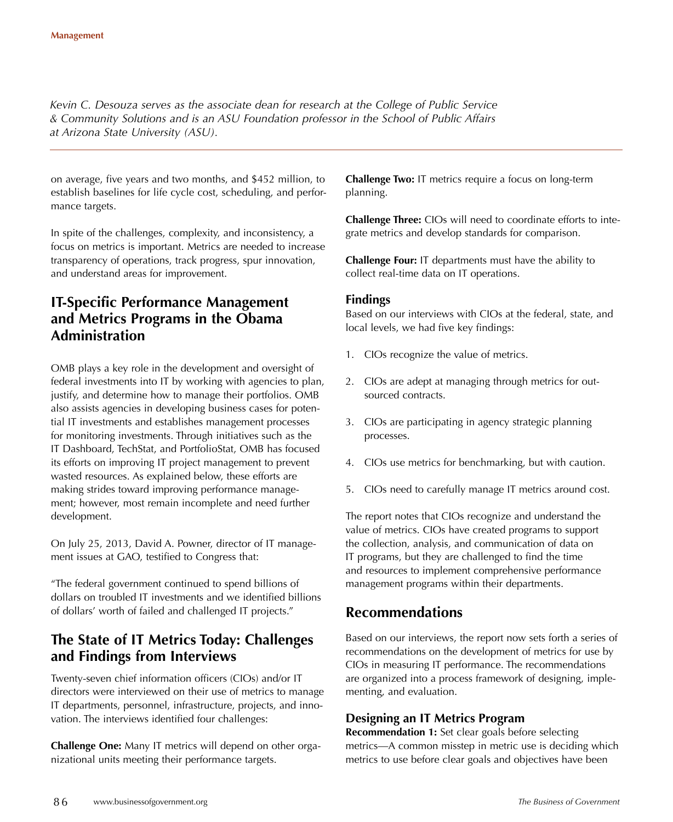*Kevin C. Desouza serves as the associate dean for research at the College of Public Service & Community Solutions and is an ASU Foundation professor in the School of Public Affairs at Arizona State University (ASU).*

on average, five years and two months, and \$452 million, to establish baselines for life cycle cost, scheduling, and performance targets.

In spite of the challenges, complexity, and inconsistency, a focus on metrics is important. Metrics are needed to increase transparency of operations, track progress, spur innovation, and understand areas for improvement.

# **IT-Specific Performance Management and Metrics Programs in the Obama Administration**

OMB plays a key role in the development and oversight of federal investments into IT by working with agencies to plan, justify, and determine how to manage their portfolios. OMB also assists agencies in developing business cases for potential IT investments and establishes management processes for monitoring investments. Through initiatives such as the IT Dashboard, TechStat, and PortfolioStat, OMB has focused its efforts on improving IT project management to prevent wasted resources. As explained below, these efforts are making strides toward improving performance management; however, most remain incomplete and need further development.

On July 25, 2013, David A. Powner, director of IT management issues at GAO, testified to Congress that:

"The federal government continued to spend billions of dollars on troubled IT investments and we identified billions of dollars' worth of failed and challenged IT projects."

# **The State of IT Metrics Today: Challenges and Findings from Interviews**

Twenty-seven chief information officers (CIOs) and/or IT directors were interviewed on their use of metrics to manage IT departments, personnel, infrastructure, projects, and innovation. The interviews identified four challenges:

**Challenge One:** Many IT metrics will depend on other organizational units meeting their performance targets.

**Challenge Two:** IT metrics require a focus on long-term planning.

**Challenge Three:** CIOs will need to coordinate efforts to integrate metrics and develop standards for comparison.

**Challenge Four:** IT departments must have the ability to collect real-time data on IT operations.

## **Findings**

Based on our interviews with CIOs at the federal, state, and local levels, we had five key findings:

- 1. CIOs recognize the value of metrics.
- 2. CIOs are adept at managing through metrics for outsourced contracts.
- 3. CIOs are participating in agency strategic planning processes.
- 4. CIOs use metrics for benchmarking, but with caution.
- 5. CIOs need to carefully manage IT metrics around cost.

The report notes that CIOs recognize and understand the value of metrics. CIOs have created programs to support the collection, analysis, and communication of data on IT programs, but they are challenged to find the time and resources to implement comprehensive performance management programs within their departments.

# **Recommendations**

Based on our interviews, the report now sets forth a series of recommendations on the development of metrics for use by CIOs in measuring IT performance. The recommendations are organized into a process framework of designing, implementing, and evaluation.

## **Designing an IT Metrics Program**

**Recommendation 1:** Set clear goals before selecting metrics—A common misstep in metric use is deciding which metrics to use before clear goals and objectives have been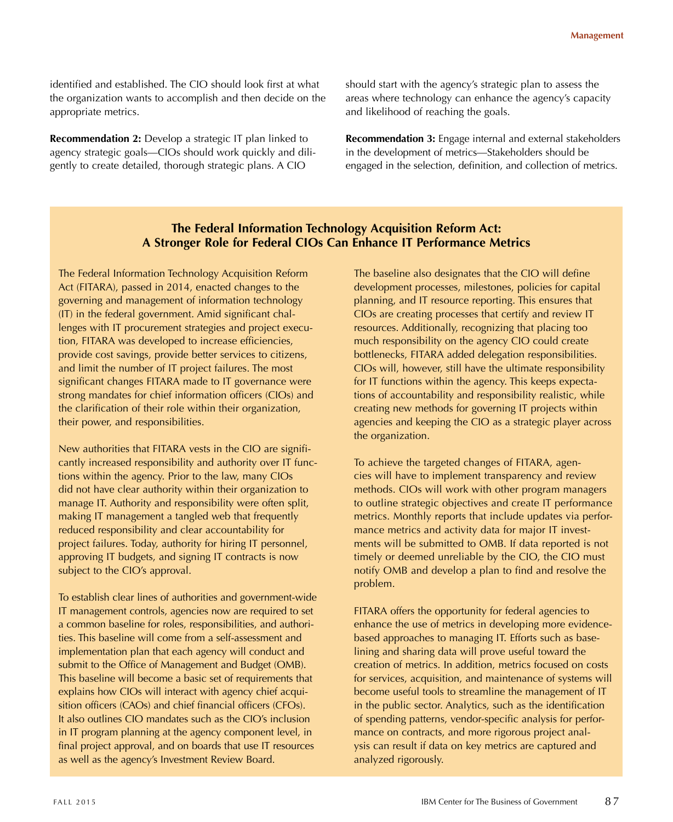identified and established. The CIO should look first at what the organization wants to accomplish and then decide on the appropriate metrics.

**Recommendation 2:** Develop a strategic IT plan linked to agency strategic goals—CIOs should work quickly and diligently to create detailed, thorough strategic plans. A CIO

should start with the agency's strategic plan to assess the areas where technology can enhance the agency's capacity and likelihood of reaching the goals.

**Recommendation 3:** Engage internal and external stakeholders in the development of metrics—Stakeholders should be engaged in the selection, definition, and collection of metrics.

## **The Federal Information Technology Acquisition Reform Act: A Stronger Role for Federal CIOs Can Enhance IT Performance Metrics**

The Federal Information Technology Acquisition Reform Act (FITARA), passed in 2014, enacted changes to the governing and management of information technology (IT) in the federal government. Amid significant challenges with IT procurement strategies and project execution, FITARA was developed to increase efficiencies, provide cost savings, provide better services to citizens, and limit the number of IT project failures. The most significant changes FITARA made to IT governance were strong mandates for chief information officers (CIOs) and the clarification of their role within their organization, their power, and responsibilities.

New authorities that FITARA vests in the CIO are significantly increased responsibility and authority over IT functions within the agency. Prior to the law, many CIOs did not have clear authority within their organization to manage IT. Authority and responsibility were often split, making IT management a tangled web that frequently reduced responsibility and clear accountability for project failures. Today, authority for hiring IT personnel, approving IT budgets, and signing IT contracts is now subject to the CIO's approval.

To establish clear lines of authorities and government-wide IT management controls, agencies now are required to set a common baseline for roles, responsibilities, and authorities. This baseline will come from a self-assessment and implementation plan that each agency will conduct and submit to the Office of Management and Budget (OMB). This baseline will become a basic set of requirements that explains how CIOs will interact with agency chief acquisition officers (CAOs) and chief financial officers (CFOs). It also outlines CIO mandates such as the CIO's inclusion in IT program planning at the agency component level, in final project approval, and on boards that use IT resources as well as the agency's Investment Review Board.

The baseline also designates that the CIO will define development processes, milestones, policies for capital planning, and IT resource reporting. This ensures that CIOs are creating processes that certify and review IT resources. Additionally, recognizing that placing too much responsibility on the agency CIO could create bottlenecks, FITARA added delegation responsibilities. CIOs will, however, still have the ultimate responsibility for IT functions within the agency. This keeps expectations of accountability and responsibility realistic, while creating new methods for governing IT projects within agencies and keeping the CIO as a strategic player across the organization.

To achieve the targeted changes of FITARA, agencies will have to implement transparency and review methods. CIOs will work with other program managers to outline strategic objectives and create IT performance metrics. Monthly reports that include updates via performance metrics and activity data for major IT investments will be submitted to OMB. If data reported is not timely or deemed unreliable by the CIO, the CIO must notify OMB and develop a plan to find and resolve the problem.

FITARA offers the opportunity for federal agencies to enhance the use of metrics in developing more evidencebased approaches to managing IT. Efforts such as baselining and sharing data will prove useful toward the creation of metrics. In addition, metrics focused on costs for services, acquisition, and maintenance of systems will become useful tools to streamline the management of IT in the public sector. Analytics, such as the identification of spending patterns, vendor-specific analysis for performance on contracts, and more rigorous project analysis can result if data on key metrics are captured and analyzed rigorously.